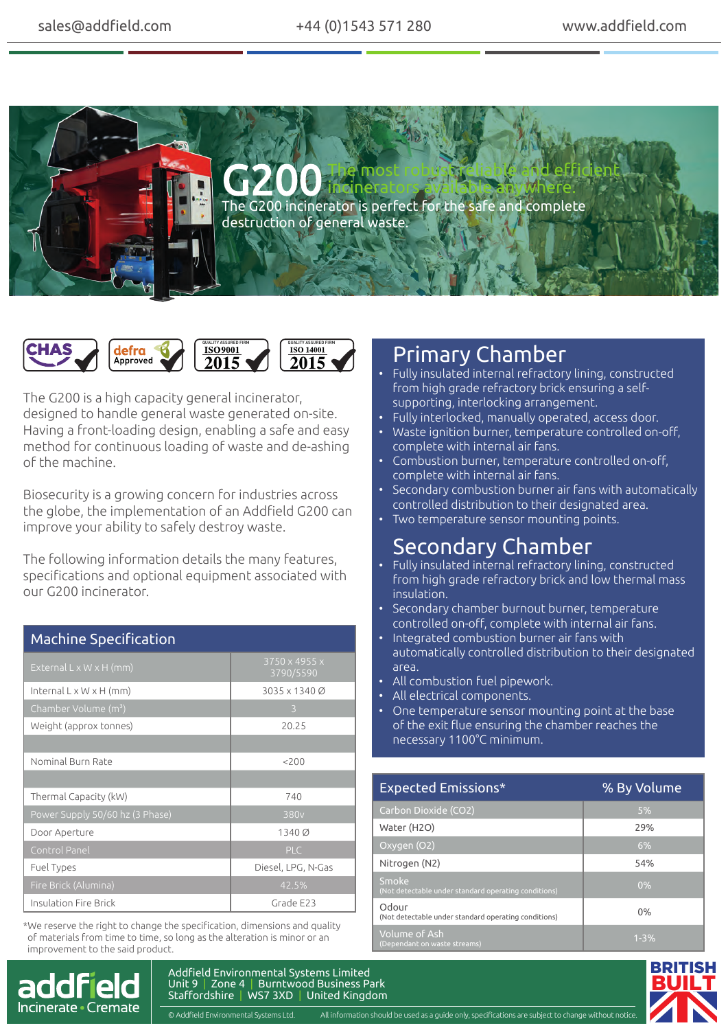



The G200 is a high capacity general incinerator, designed to handle general waste generated on-site. Having a front-loading design, enabling a safe and easy method for continuous loading of waste and de-ashing of the machine.

Biosecurity is a growing concern for industries across the globe, the implementation of an Addfield G200 can improve your ability to safely destroy waste.

The following information details the many features, specifications and optional equipment associated with our G200 incinerator.

| <b>Machine Specification</b>        |                            |
|-------------------------------------|----------------------------|
| External $L \times W \times H$ (mm) | 3750 x 4955 x<br>3790/5590 |
| Internal $L \times W \times H$ (mm) | 3035 x 1340 Ø              |
| Chamber Volume (m <sup>3</sup> )    | 3                          |
| Weight (approx tonnes)              | 20.25                      |
|                                     |                            |
| Nominal Burn Rate                   | 200                        |
|                                     |                            |
| Thermal Capacity (kW)               | 740                        |
| Power Supply 50/60 hz (3 Phase)     | 380 <sub>v</sub>           |
| Door Aperture                       | 1340 Ø                     |
| Control Panel                       | <b>PLC</b>                 |
| Fuel Types                          | Diesel, LPG, N-Gas         |
| Fire Brick (Alumina)                | 42.5%                      |
| Insulation Fire Brick               | Grade E23                  |

\*We reserve the right to change the specification, dimensions and quality of materials from time to time, so long as the alteration is minor or an improvement to the said product.



## Primary Chamber

- Fully insulated internal refractory lining, constructed from high grade refractory brick ensuring a selfsupporting, interlocking arrangement.
- Fully interlocked, manually operated, access door.
- Waste ignition burner, temperature controlled on-off, complete with internal air fans.
- Combustion burner, temperature controlled on-off, complete with internal air fans.
- Secondary combustion burner air fans with automatically controlled distribution to their designated area.
- Two temperature sensor mounting points.

## Secondary Chamber

- Fully insulated internal refractory lining, constructed from high grade refractory brick and low thermal mass insulation.
- Secondary chamber burnout burner, temperature controlled on-off, complete with internal air fans.
- Integrated combustion burner air fans with automatically controlled distribution to their designated area.
- All combustion fuel pipework.
- All electrical components.
- One temperature sensor mounting point at the base of the exit flue ensuring the chamber reaches the necessary 1100°C minimum.

| <b>Expected Emissions*</b>                                    | % By Volume |
|---------------------------------------------------------------|-------------|
| Carbon Dioxide (CO2)                                          | 5%          |
| Water (H2O)                                                   | 29%         |
| Oxygen (O2)                                                   | 6%          |
| Nitrogen (N2)                                                 | 54%         |
| Smoke<br>(Not detectable under standard operating conditions) | 0%          |
| Odour<br>(Not detectable under standard operating conditions) | 0%          |
| Volume of Ash<br>(Dependant on waste streams)                 | $1 - 3\%$   |



Addfield Environmental Systems Limited Unit 9 | Zone 4 | Burntwood Business Park Staffordshire | WS7 3XD | United Kingdom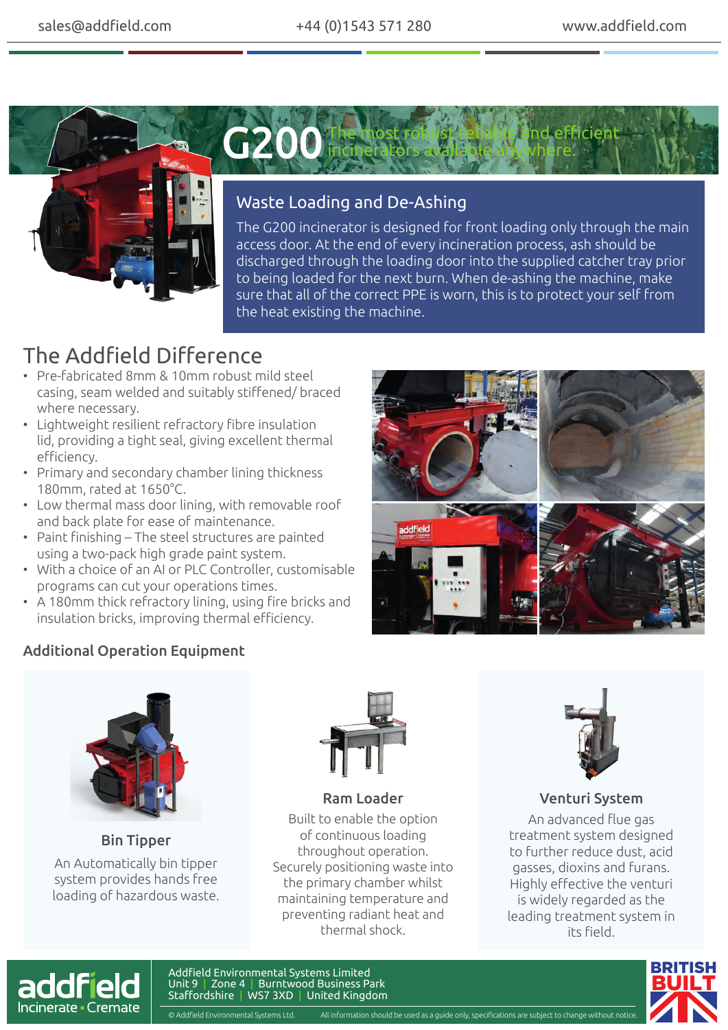



### Waste Loading and De-Ashing

The G200 incinerator is designed for front loading only through the main access door. At the end of every incineration process, ash should be discharged through the loading door into the supplied catcher tray prior to being loaded for the next burn. When de-ashing the machine, make sure that all of the correct PPE is worn, this is to protect your self from the heat existing the machine.

# The Addfield Difference

- Pre-fabricated 8mm & 10mm robust mild steel casing, seam welded and suitably stiffened/ braced where necessary.
- Lightweight resilient refractory fibre insulation lid, providing a tight seal, giving excellent thermal efficiency.
- Primary and secondary chamber lining thickness 180mm, rated at 1650°C.
- Low thermal mass door lining, with removable roof and back plate for ease of maintenance.
- Paint finishing The steel structures are painted using a two-pack high grade paint system.
- With a choice of an AI or PLC Controller, customisable programs can cut your operations times.
- A 180mm thick refractory lining, using fire bricks and insulation bricks, improving thermal efficiency.

#### Additional Operation Equipment





An Automatically bin tipper system provides hands free loading of hazardous waste. Bin Tipper



Built to enable the option of continuous loading throughout operation. Securely positioning waste into the primary chamber whilst maintaining temperature and preventing radiant heat and thermal shock. Ram Loader



#### Venturi System

An advanced flue gas treatment system designed to further reduce dust, acid gasses, dioxins and furans. Highly effective the venturi is widely regarded as the leading treatment system in its field.



Addfield Environmental Systems Limited Unit 9 | Zone 4 | Burntwood Business Park Staffordshire | WS7 3XD | United Kingdom